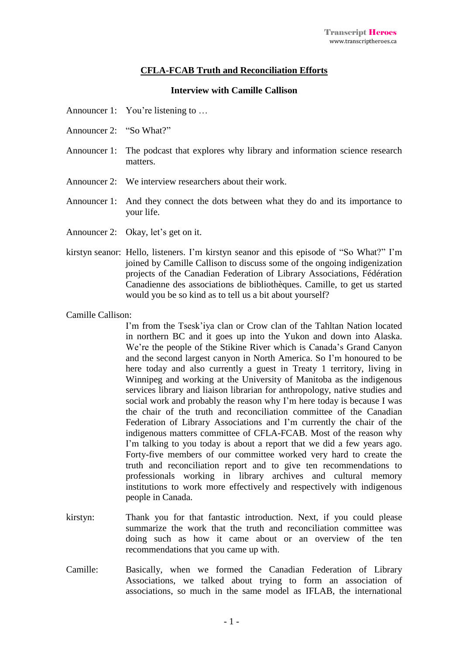## **CFLA-FCAB Truth and Reconciliation Efforts**

## **Interview with Camille Callison**

- Announcer 1: You're listening to ...
- Announcer 2: "So What?"
- Announcer 1: The podcast that explores why library and information science research matters.
- Announcer 2: We interview researchers about their work.
- Announcer 1: And they connect the dots between what they do and its importance to your life.
- Announcer 2: Okay, let's get on it.
- kirstyn seanor: Hello, listeners. I'm kirstyn seanor and this episode of "So What?" I'm joined by Camille Callison to discuss some of the ongoing indigenization projects of the Canadian Federation of Library Associations, Fédération Canadienne des associations de bibliothèques. Camille, to get us started would you be so kind as to tell us a bit about yourself?

Camille Callison:

I'm from the Tsesk'iya clan or Crow clan of the Tahltan Nation located in northern BC and it goes up into the Yukon and down into Alaska. We're the people of the Stikine River which is Canada's Grand Canyon and the second largest canyon in North America. So I'm honoured to be here today and also currently a guest in Treaty 1 territory, living in Winnipeg and working at the University of Manitoba as the indigenous services library and liaison librarian for anthropology, native studies and social work and probably the reason why I'm here today is because I was the chair of the truth and reconciliation committee of the Canadian Federation of Library Associations and I'm currently the chair of the indigenous matters committee of CFLA-FCAB. Most of the reason why I'm talking to you today is about a report that we did a few years ago. Forty-five members of our committee worked very hard to create the truth and reconciliation report and to give ten recommendations to professionals working in library archives and cultural memory institutions to work more effectively and respectively with indigenous people in Canada.

- kirstyn: Thank you for that fantastic introduction. Next, if you could please summarize the work that the truth and reconciliation committee was doing such as how it came about or an overview of the ten recommendations that you came up with.
- Camille: Basically, when we formed the Canadian Federation of Library Associations, we talked about trying to form an association of associations, so much in the same model as IFLAB, the international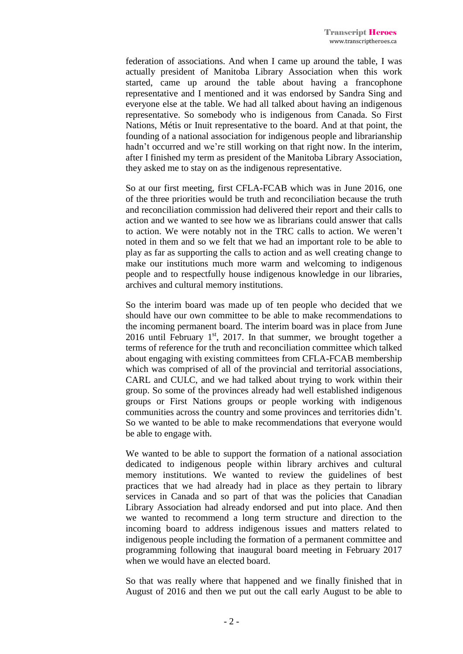federation of associations. And when I came up around the table, I was actually president of Manitoba Library Association when this work started, came up around the table about having a francophone representative and I mentioned and it was endorsed by Sandra Sing and everyone else at the table. We had all talked about having an indigenous representative. So somebody who is indigenous from Canada. So First Nations, Métis or Inuit representative to the board. And at that point, the founding of a national association for indigenous people and librarianship hadn't occurred and we're still working on that right now. In the interim, after I finished my term as president of the Manitoba Library Association, they asked me to stay on as the indigenous representative.

So at our first meeting, first CFLA-FCAB which was in June 2016, one of the three priorities would be truth and reconciliation because the truth and reconciliation commission had delivered their report and their calls to action and we wanted to see how we as librarians could answer that calls to action. We were notably not in the TRC calls to action. We weren't noted in them and so we felt that we had an important role to be able to play as far as supporting the calls to action and as well creating change to make our institutions much more warm and welcoming to indigenous people and to respectfully house indigenous knowledge in our libraries, archives and cultural memory institutions.

So the interim board was made up of ten people who decided that we should have our own committee to be able to make recommendations to the incoming permanent board. The interim board was in place from June 2016 until February  $1<sup>st</sup>$ , 2017. In that summer, we brought together a terms of reference for the truth and reconciliation committee which talked about engaging with existing committees from CFLA-FCAB membership which was comprised of all of the provincial and territorial associations, CARL and CULC, and we had talked about trying to work within their group. So some of the provinces already had well established indigenous groups or First Nations groups or people working with indigenous communities across the country and some provinces and territories didn't. So we wanted to be able to make recommendations that everyone would be able to engage with.

We wanted to be able to support the formation of a national association dedicated to indigenous people within library archives and cultural memory institutions. We wanted to review the guidelines of best practices that we had already had in place as they pertain to library services in Canada and so part of that was the policies that Canadian Library Association had already endorsed and put into place. And then we wanted to recommend a long term structure and direction to the incoming board to address indigenous issues and matters related to indigenous people including the formation of a permanent committee and programming following that inaugural board meeting in February 2017 when we would have an elected board.

So that was really where that happened and we finally finished that in August of 2016 and then we put out the call early August to be able to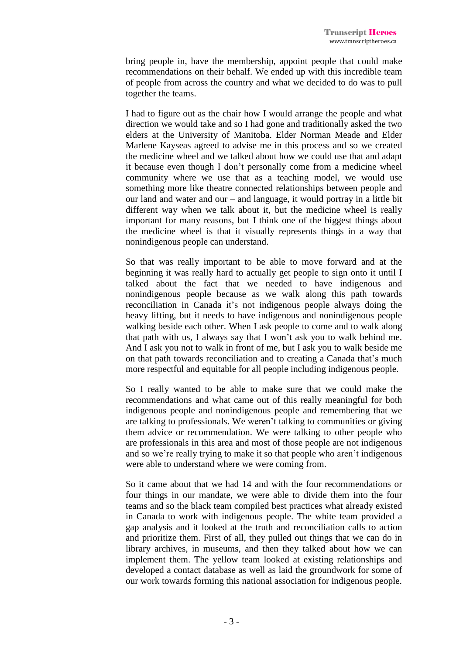bring people in, have the membership, appoint people that could make recommendations on their behalf. We ended up with this incredible team of people from across the country and what we decided to do was to pull together the teams.

I had to figure out as the chair how I would arrange the people and what direction we would take and so I had gone and traditionally asked the two elders at the University of Manitoba. Elder Norman Meade and Elder Marlene Kayseas agreed to advise me in this process and so we created the medicine wheel and we talked about how we could use that and adapt it because even though I don't personally come from a medicine wheel community where we use that as a teaching model, we would use something more like theatre connected relationships between people and our land and water and our – and language, it would portray in a little bit different way when we talk about it, but the medicine wheel is really important for many reasons, but I think one of the biggest things about the medicine wheel is that it visually represents things in a way that nonindigenous people can understand.

So that was really important to be able to move forward and at the beginning it was really hard to actually get people to sign onto it until I talked about the fact that we needed to have indigenous and nonindigenous people because as we walk along this path towards reconciliation in Canada it's not indigenous people always doing the heavy lifting, but it needs to have indigenous and nonindigenous people walking beside each other. When I ask people to come and to walk along that path with us, I always say that I won't ask you to walk behind me. And I ask you not to walk in front of me, but I ask you to walk beside me on that path towards reconciliation and to creating a Canada that's much more respectful and equitable for all people including indigenous people.

So I really wanted to be able to make sure that we could make the recommendations and what came out of this really meaningful for both indigenous people and nonindigenous people and remembering that we are talking to professionals. We weren't talking to communities or giving them advice or recommendation. We were talking to other people who are professionals in this area and most of those people are not indigenous and so we're really trying to make it so that people who aren't indigenous were able to understand where we were coming from.

So it came about that we had 14 and with the four recommendations or four things in our mandate, we were able to divide them into the four teams and so the black team compiled best practices what already existed in Canada to work with indigenous people. The white team provided a gap analysis and it looked at the truth and reconciliation calls to action and prioritize them. First of all, they pulled out things that we can do in library archives, in museums, and then they talked about how we can implement them. The yellow team looked at existing relationships and developed a contact database as well as laid the groundwork for some of our work towards forming this national association for indigenous people.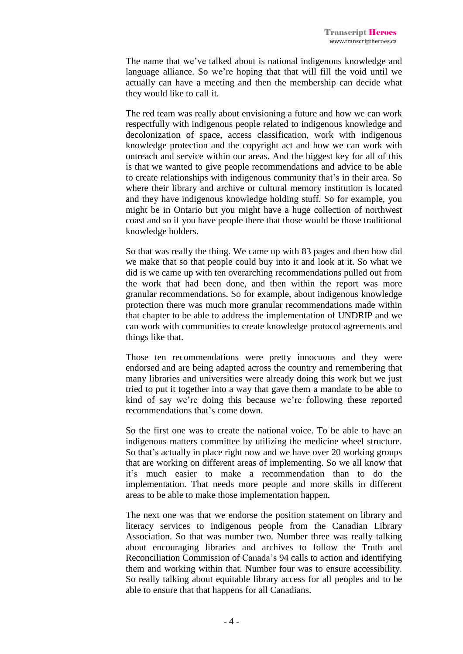The name that we've talked about is national indigenous knowledge and language alliance. So we're hoping that that will fill the void until we actually can have a meeting and then the membership can decide what they would like to call it.

The red team was really about envisioning a future and how we can work respectfully with indigenous people related to indigenous knowledge and decolonization of space, access classification, work with indigenous knowledge protection and the copyright act and how we can work with outreach and service within our areas. And the biggest key for all of this is that we wanted to give people recommendations and advice to be able to create relationships with indigenous community that's in their area. So where their library and archive or cultural memory institution is located and they have indigenous knowledge holding stuff. So for example, you might be in Ontario but you might have a huge collection of northwest coast and so if you have people there that those would be those traditional knowledge holders.

So that was really the thing. We came up with 83 pages and then how did we make that so that people could buy into it and look at it. So what we did is we came up with ten overarching recommendations pulled out from the work that had been done, and then within the report was more granular recommendations. So for example, about indigenous knowledge protection there was much more granular recommendations made within that chapter to be able to address the implementation of UNDRIP and we can work with communities to create knowledge protocol agreements and things like that.

Those ten recommendations were pretty innocuous and they were endorsed and are being adapted across the country and remembering that many libraries and universities were already doing this work but we just tried to put it together into a way that gave them a mandate to be able to kind of say we're doing this because we're following these reported recommendations that's come down.

So the first one was to create the national voice. To be able to have an indigenous matters committee by utilizing the medicine wheel structure. So that's actually in place right now and we have over 20 working groups that are working on different areas of implementing. So we all know that it's much easier to make a recommendation than to do the implementation. That needs more people and more skills in different areas to be able to make those implementation happen.

The next one was that we endorse the position statement on library and literacy services to indigenous people from the Canadian Library Association. So that was number two. Number three was really talking about encouraging libraries and archives to follow the Truth and Reconciliation Commission of Canada's 94 calls to action and identifying them and working within that. Number four was to ensure accessibility. So really talking about equitable library access for all peoples and to be able to ensure that that happens for all Canadians.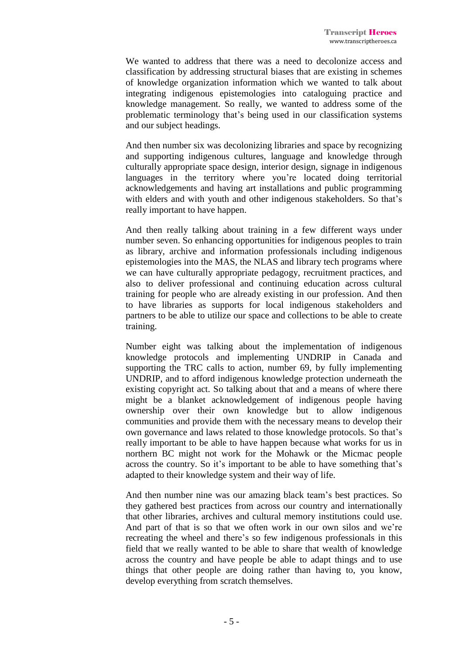We wanted to address that there was a need to decolonize access and classification by addressing structural biases that are existing in schemes of knowledge organization information which we wanted to talk about integrating indigenous epistemologies into cataloguing practice and knowledge management. So really, we wanted to address some of the problematic terminology that's being used in our classification systems and our subject headings.

And then number six was decolonizing libraries and space by recognizing and supporting indigenous cultures, language and knowledge through culturally appropriate space design, interior design, signage in indigenous languages in the territory where you're located doing territorial acknowledgements and having art installations and public programming with elders and with youth and other indigenous stakeholders. So that's really important to have happen.

And then really talking about training in a few different ways under number seven. So enhancing opportunities for indigenous peoples to train as library, archive and information professionals including indigenous epistemologies into the MAS, the NLAS and library tech programs where we can have culturally appropriate pedagogy, recruitment practices, and also to deliver professional and continuing education across cultural training for people who are already existing in our profession. And then to have libraries as supports for local indigenous stakeholders and partners to be able to utilize our space and collections to be able to create training.

Number eight was talking about the implementation of indigenous knowledge protocols and implementing UNDRIP in Canada and supporting the TRC calls to action, number 69, by fully implementing UNDRIP, and to afford indigenous knowledge protection underneath the existing copyright act. So talking about that and a means of where there might be a blanket acknowledgement of indigenous people having ownership over their own knowledge but to allow indigenous communities and provide them with the necessary means to develop their own governance and laws related to those knowledge protocols. So that's really important to be able to have happen because what works for us in northern BC might not work for the Mohawk or the Micmac people across the country. So it's important to be able to have something that's adapted to their knowledge system and their way of life.

And then number nine was our amazing black team's best practices. So they gathered best practices from across our country and internationally that other libraries, archives and cultural memory institutions could use. And part of that is so that we often work in our own silos and we're recreating the wheel and there's so few indigenous professionals in this field that we really wanted to be able to share that wealth of knowledge across the country and have people be able to adapt things and to use things that other people are doing rather than having to, you know, develop everything from scratch themselves.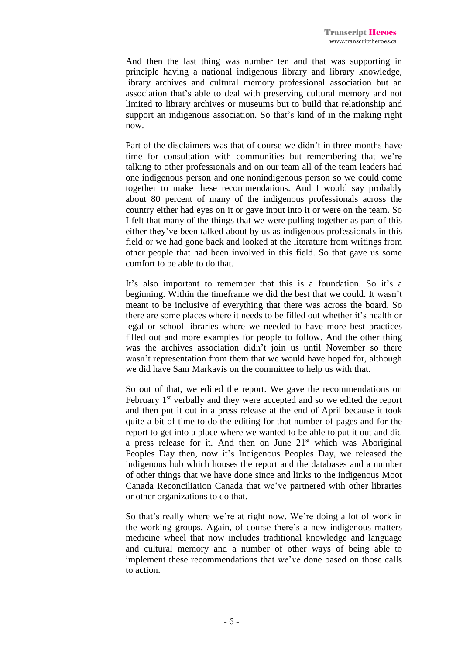And then the last thing was number ten and that was supporting in principle having a national indigenous library and library knowledge, library archives and cultural memory professional association but an association that's able to deal with preserving cultural memory and not limited to library archives or museums but to build that relationship and support an indigenous association. So that's kind of in the making right now.

Part of the disclaimers was that of course we didn't in three months have time for consultation with communities but remembering that we're talking to other professionals and on our team all of the team leaders had one indigenous person and one nonindigenous person so we could come together to make these recommendations. And I would say probably about 80 percent of many of the indigenous professionals across the country either had eyes on it or gave input into it or were on the team. So I felt that many of the things that we were pulling together as part of this either they've been talked about by us as indigenous professionals in this field or we had gone back and looked at the literature from writings from other people that had been involved in this field. So that gave us some comfort to be able to do that.

It's also important to remember that this is a foundation. So it's a beginning. Within the timeframe we did the best that we could. It wasn't meant to be inclusive of everything that there was across the board. So there are some places where it needs to be filled out whether it's health or legal or school libraries where we needed to have more best practices filled out and more examples for people to follow. And the other thing was the archives association didn't join us until November so there wasn't representation from them that we would have hoped for, although we did have Sam Markavis on the committee to help us with that.

So out of that, we edited the report. We gave the recommendations on February 1<sup>st</sup> verbally and they were accepted and so we edited the report and then put it out in a press release at the end of April because it took quite a bit of time to do the editing for that number of pages and for the report to get into a place where we wanted to be able to put it out and did a press release for it. And then on June  $21<sup>st</sup>$  which was Aboriginal Peoples Day then, now it's Indigenous Peoples Day, we released the indigenous hub which houses the report and the databases and a number of other things that we have done since and links to the indigenous Moot Canada Reconciliation Canada that we've partnered with other libraries or other organizations to do that.

So that's really where we're at right now. We're doing a lot of work in the working groups. Again, of course there's a new indigenous matters medicine wheel that now includes traditional knowledge and language and cultural memory and a number of other ways of being able to implement these recommendations that we've done based on those calls to action.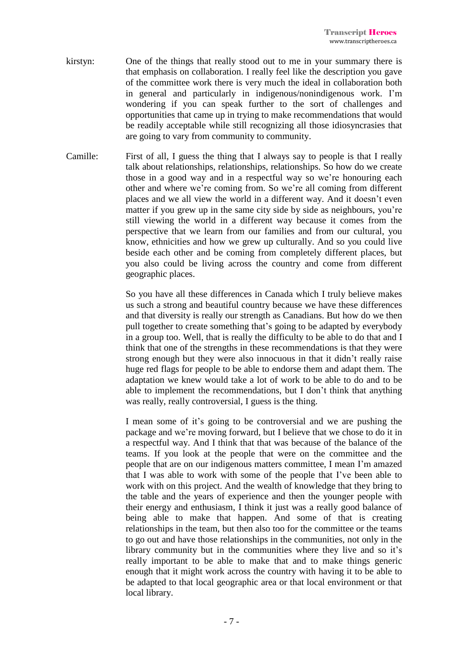- kirstyn: One of the things that really stood out to me in your summary there is that emphasis on collaboration. I really feel like the description you gave of the committee work there is very much the ideal in collaboration both in general and particularly in indigenous/nonindigenous work. I'm wondering if you can speak further to the sort of challenges and opportunities that came up in trying to make recommendations that would be readily acceptable while still recognizing all those idiosyncrasies that are going to vary from community to community.
- Camille: First of all, I guess the thing that I always say to people is that I really talk about relationships, relationships, relationships. So how do we create those in a good way and in a respectful way so we're honouring each other and where we're coming from. So we're all coming from different places and we all view the world in a different way. And it doesn't even matter if you grew up in the same city side by side as neighbours, you're still viewing the world in a different way because it comes from the perspective that we learn from our families and from our cultural, you know, ethnicities and how we grew up culturally. And so you could live beside each other and be coming from completely different places, but you also could be living across the country and come from different geographic places.

So you have all these differences in Canada which I truly believe makes us such a strong and beautiful country because we have these differences and that diversity is really our strength as Canadians. But how do we then pull together to create something that's going to be adapted by everybody in a group too. Well, that is really the difficulty to be able to do that and I think that one of the strengths in these recommendations is that they were strong enough but they were also innocuous in that it didn't really raise huge red flags for people to be able to endorse them and adapt them. The adaptation we knew would take a lot of work to be able to do and to be able to implement the recommendations, but I don't think that anything was really, really controversial, I guess is the thing.

I mean some of it's going to be controversial and we are pushing the package and we're moving forward, but I believe that we chose to do it in a respectful way. And I think that that was because of the balance of the teams. If you look at the people that were on the committee and the people that are on our indigenous matters committee, I mean I'm amazed that I was able to work with some of the people that I've been able to work with on this project. And the wealth of knowledge that they bring to the table and the years of experience and then the younger people with their energy and enthusiasm, I think it just was a really good balance of being able to make that happen. And some of that is creating relationships in the team, but then also too for the committee or the teams to go out and have those relationships in the communities, not only in the library community but in the communities where they live and so it's really important to be able to make that and to make things generic enough that it might work across the country with having it to be able to be adapted to that local geographic area or that local environment or that local library.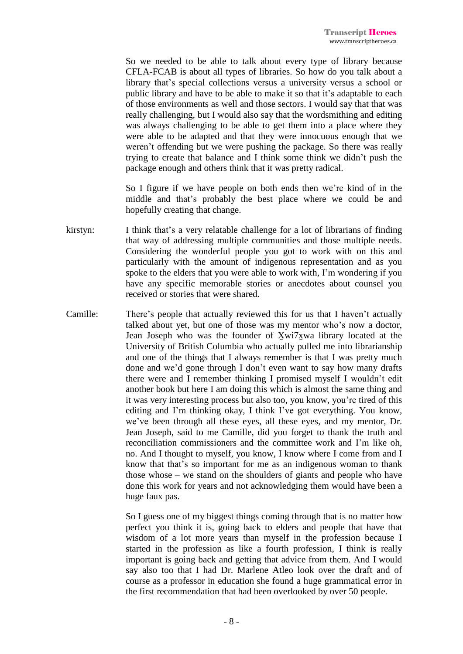So we needed to be able to talk about every type of library because CFLA-FCAB is about all types of libraries. So how do you talk about a library that's special collections versus a university versus a school or public library and have to be able to make it so that it's adaptable to each of those environments as well and those sectors. I would say that that was really challenging, but I would also say that the wordsmithing and editing was always challenging to be able to get them into a place where they were able to be adapted and that they were innocuous enough that we weren't offending but we were pushing the package. So there was really trying to create that balance and I think some think we didn't push the package enough and others think that it was pretty radical.

So I figure if we have people on both ends then we're kind of in the middle and that's probably the best place where we could be and hopefully creating that change.

- kirstyn: I think that's a very relatable challenge for a lot of librarians of finding that way of addressing multiple communities and those multiple needs. Considering the wonderful people you got to work with on this and particularly with the amount of indigenous representation and as you spoke to the elders that you were able to work with, I'm wondering if you have any specific memorable stories or anecdotes about counsel you received or stories that were shared.
- Camille: There's people that actually reviewed this for us that I haven't actually talked about yet, but one of those was my mentor who's now a doctor, Jean Joseph who was the founder of X̱wi7x̱wa library located at the University of British Columbia who actually pulled me into librarianship and one of the things that I always remember is that I was pretty much done and we'd gone through I don't even want to say how many drafts there were and I remember thinking I promised myself I wouldn't edit another book but here I am doing this which is almost the same thing and it was very interesting process but also too, you know, you're tired of this editing and I'm thinking okay, I think I've got everything. You know, we've been through all these eyes, all these eyes, and my mentor, Dr. Jean Joseph, said to me Camille, did you forget to thank the truth and reconciliation commissioners and the committee work and I'm like oh, no. And I thought to myself, you know, I know where I come from and I know that that's so important for me as an indigenous woman to thank those whose – we stand on the shoulders of giants and people who have done this work for years and not acknowledging them would have been a huge faux pas.

So I guess one of my biggest things coming through that is no matter how perfect you think it is, going back to elders and people that have that wisdom of a lot more years than myself in the profession because I started in the profession as like a fourth profession, I think is really important is going back and getting that advice from them. And I would say also too that I had Dr. Marlene Atleo look over the draft and of course as a professor in education she found a huge grammatical error in the first recommendation that had been overlooked by over 50 people.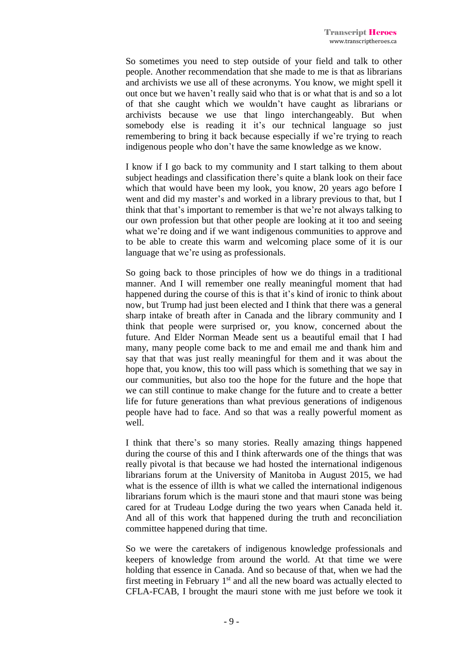So sometimes you need to step outside of your field and talk to other people. Another recommendation that she made to me is that as librarians and archivists we use all of these acronyms. You know, we might spell it out once but we haven't really said who that is or what that is and so a lot of that she caught which we wouldn't have caught as librarians or archivists because we use that lingo interchangeably. But when somebody else is reading it it's our technical language so just remembering to bring it back because especially if we're trying to reach indigenous people who don't have the same knowledge as we know.

I know if I go back to my community and I start talking to them about subject headings and classification there's quite a blank look on their face which that would have been my look, you know, 20 years ago before I went and did my master's and worked in a library previous to that, but I think that that's important to remember is that we're not always talking to our own profession but that other people are looking at it too and seeing what we're doing and if we want indigenous communities to approve and to be able to create this warm and welcoming place some of it is our language that we're using as professionals.

So going back to those principles of how we do things in a traditional manner. And I will remember one really meaningful moment that had happened during the course of this is that it's kind of ironic to think about now, but Trump had just been elected and I think that there was a general sharp intake of breath after in Canada and the library community and I think that people were surprised or, you know, concerned about the future. And Elder Norman Meade sent us a beautiful email that I had many, many people come back to me and email me and thank him and say that that was just really meaningful for them and it was about the hope that, you know, this too will pass which is something that we say in our communities, but also too the hope for the future and the hope that we can still continue to make change for the future and to create a better life for future generations than what previous generations of indigenous people have had to face. And so that was a really powerful moment as well.

I think that there's so many stories. Really amazing things happened during the course of this and I think afterwards one of the things that was really pivotal is that because we had hosted the international indigenous librarians forum at the University of Manitoba in August 2015, we had what is the essence of illth is what we called the international indigenous librarians forum which is the mauri stone and that mauri stone was being cared for at Trudeau Lodge during the two years when Canada held it. And all of this work that happened during the truth and reconciliation committee happened during that time.

So we were the caretakers of indigenous knowledge professionals and keepers of knowledge from around the world. At that time we were holding that essence in Canada. And so because of that, when we had the first meeting in February 1<sup>st</sup> and all the new board was actually elected to CFLA-FCAB, I brought the mauri stone with me just before we took it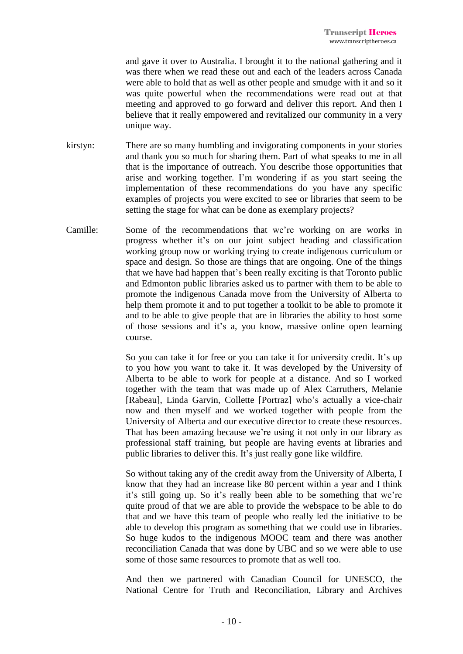and gave it over to Australia. I brought it to the national gathering and it was there when we read these out and each of the leaders across Canada were able to hold that as well as other people and smudge with it and so it was quite powerful when the recommendations were read out at that meeting and approved to go forward and deliver this report. And then I believe that it really empowered and revitalized our community in a very unique way.

- kirstyn: There are so many humbling and invigorating components in your stories and thank you so much for sharing them. Part of what speaks to me in all that is the importance of outreach. You describe those opportunities that arise and working together. I'm wondering if as you start seeing the implementation of these recommendations do you have any specific examples of projects you were excited to see or libraries that seem to be setting the stage for what can be done as exemplary projects?
- Camille: Some of the recommendations that we're working on are works in progress whether it's on our joint subject heading and classification working group now or working trying to create indigenous curriculum or space and design. So those are things that are ongoing. One of the things that we have had happen that's been really exciting is that Toronto public and Edmonton public libraries asked us to partner with them to be able to promote the indigenous Canada move from the University of Alberta to help them promote it and to put together a toolkit to be able to promote it and to be able to give people that are in libraries the ability to host some of those sessions and it's a, you know, massive online open learning course.

So you can take it for free or you can take it for university credit. It's up to you how you want to take it. It was developed by the University of Alberta to be able to work for people at a distance. And so I worked together with the team that was made up of Alex Carruthers, Melanie [Rabeau], Linda Garvin, Collette [Portraz] who's actually a vice-chair now and then myself and we worked together with people from the University of Alberta and our executive director to create these resources. That has been amazing because we're using it not only in our library as professional staff training, but people are having events at libraries and public libraries to deliver this. It's just really gone like wildfire.

So without taking any of the credit away from the University of Alberta, I know that they had an increase like 80 percent within a year and I think it's still going up. So it's really been able to be something that we're quite proud of that we are able to provide the webspace to be able to do that and we have this team of people who really led the initiative to be able to develop this program as something that we could use in libraries. So huge kudos to the indigenous MOOC team and there was another reconciliation Canada that was done by UBC and so we were able to use some of those same resources to promote that as well too.

And then we partnered with Canadian Council for UNESCO, the National Centre for Truth and Reconciliation, Library and Archives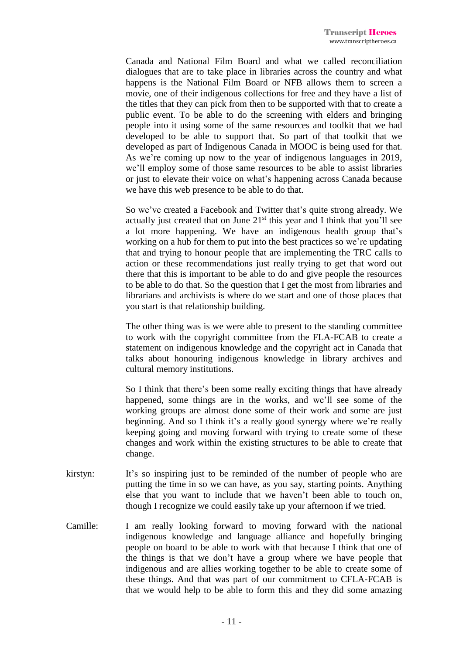Canada and National Film Board and what we called reconciliation dialogues that are to take place in libraries across the country and what happens is the National Film Board or NFB allows them to screen a movie, one of their indigenous collections for free and they have a list of the titles that they can pick from then to be supported with that to create a public event. To be able to do the screening with elders and bringing people into it using some of the same resources and toolkit that we had developed to be able to support that. So part of that toolkit that we developed as part of Indigenous Canada in MOOC is being used for that. As we're coming up now to the year of indigenous languages in 2019, we'll employ some of those same resources to be able to assist libraries or just to elevate their voice on what's happening across Canada because we have this web presence to be able to do that.

So we've created a Facebook and Twitter that's quite strong already. We actually just created that on June  $21<sup>st</sup>$  this year and I think that you'll see a lot more happening. We have an indigenous health group that's working on a hub for them to put into the best practices so we're updating that and trying to honour people that are implementing the TRC calls to action or these recommendations just really trying to get that word out there that this is important to be able to do and give people the resources to be able to do that. So the question that I get the most from libraries and librarians and archivists is where do we start and one of those places that you start is that relationship building.

The other thing was is we were able to present to the standing committee to work with the copyright committee from the FLA-FCAB to create a statement on indigenous knowledge and the copyright act in Canada that talks about honouring indigenous knowledge in library archives and cultural memory institutions.

So I think that there's been some really exciting things that have already happened, some things are in the works, and we'll see some of the working groups are almost done some of their work and some are just beginning. And so I think it's a really good synergy where we're really keeping going and moving forward with trying to create some of these changes and work within the existing structures to be able to create that change.

- kirstyn: It's so inspiring just to be reminded of the number of people who are putting the time in so we can have, as you say, starting points. Anything else that you want to include that we haven't been able to touch on, though I recognize we could easily take up your afternoon if we tried.
- Camille: I am really looking forward to moving forward with the national indigenous knowledge and language alliance and hopefully bringing people on board to be able to work with that because I think that one of the things is that we don't have a group where we have people that indigenous and are allies working together to be able to create some of these things. And that was part of our commitment to CFLA-FCAB is that we would help to be able to form this and they did some amazing